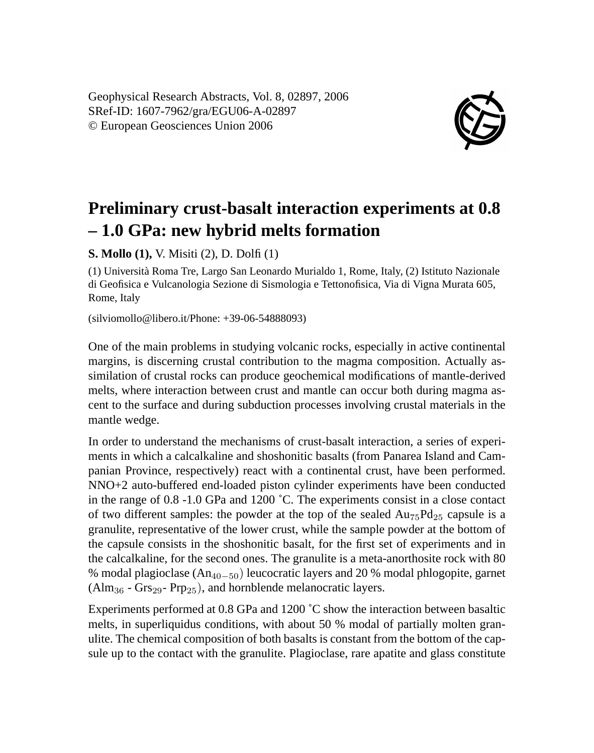Geophysical Research Abstracts, Vol. 8, 02897, 2006 SRef-ID: 1607-7962/gra/EGU06-A-02897 © European Geosciences Union 2006



## **Preliminary crust-basalt interaction experiments at 0.8 – 1.0 GPa: new hybrid melts formation**

**S. Mollo (1),** V. Misiti (2), D. Dolfi (1)

(1) Università Roma Tre, Largo San Leonardo Murialdo 1, Rome, Italy, (2) Istituto Nazionale di Geofisica e Vulcanologia Sezione di Sismologia e Tettonofisica, Via di Vigna Murata 605, Rome, Italy

(silviomollo@libero.it/Phone: +39-06-54888093)

One of the main problems in studying volcanic rocks, especially in active continental margins, is discerning crustal contribution to the magma composition. Actually assimilation of crustal rocks can produce geochemical modifications of mantle-derived melts, where interaction between crust and mantle can occur both during magma ascent to the surface and during subduction processes involving crustal materials in the mantle wedge.

In order to understand the mechanisms of crust-basalt interaction, a series of experiments in which a calcalkaline and shoshonitic basalts (from Panarea Island and Campanian Province, respectively) react with a continental crust, have been performed. NNO+2 auto-buffered end-loaded piston cylinder experiments have been conducted in the range of 0.8 -1.0 GPa and 1200 ˚C. The experiments consist in a close contact of two different samples: the powder at the top of the sealed  $Au_{75}Pd_{25}$  capsule is a granulite, representative of the lower crust, while the sample powder at the bottom of the capsule consists in the shoshonitic basalt, for the first set of experiments and in the calcalkaline, for the second ones. The granulite is a meta-anorthosite rock with 80 % modal plagioclase  $(An_{40-50})$  leucocratic layers and 20 % modal phlogopite, garnet  $(Alm<sub>36</sub> - Grs<sub>29</sub> - Prp<sub>25</sub>)$ , and hornblende melanocratic layers.

Experiments performed at 0.8 GPa and 1200 ˚C show the interaction between basaltic melts, in superliquidus conditions, with about 50 % modal of partially molten granulite. The chemical composition of both basalts is constant from the bottom of the capsule up to the contact with the granulite. Plagioclase, rare apatite and glass constitute